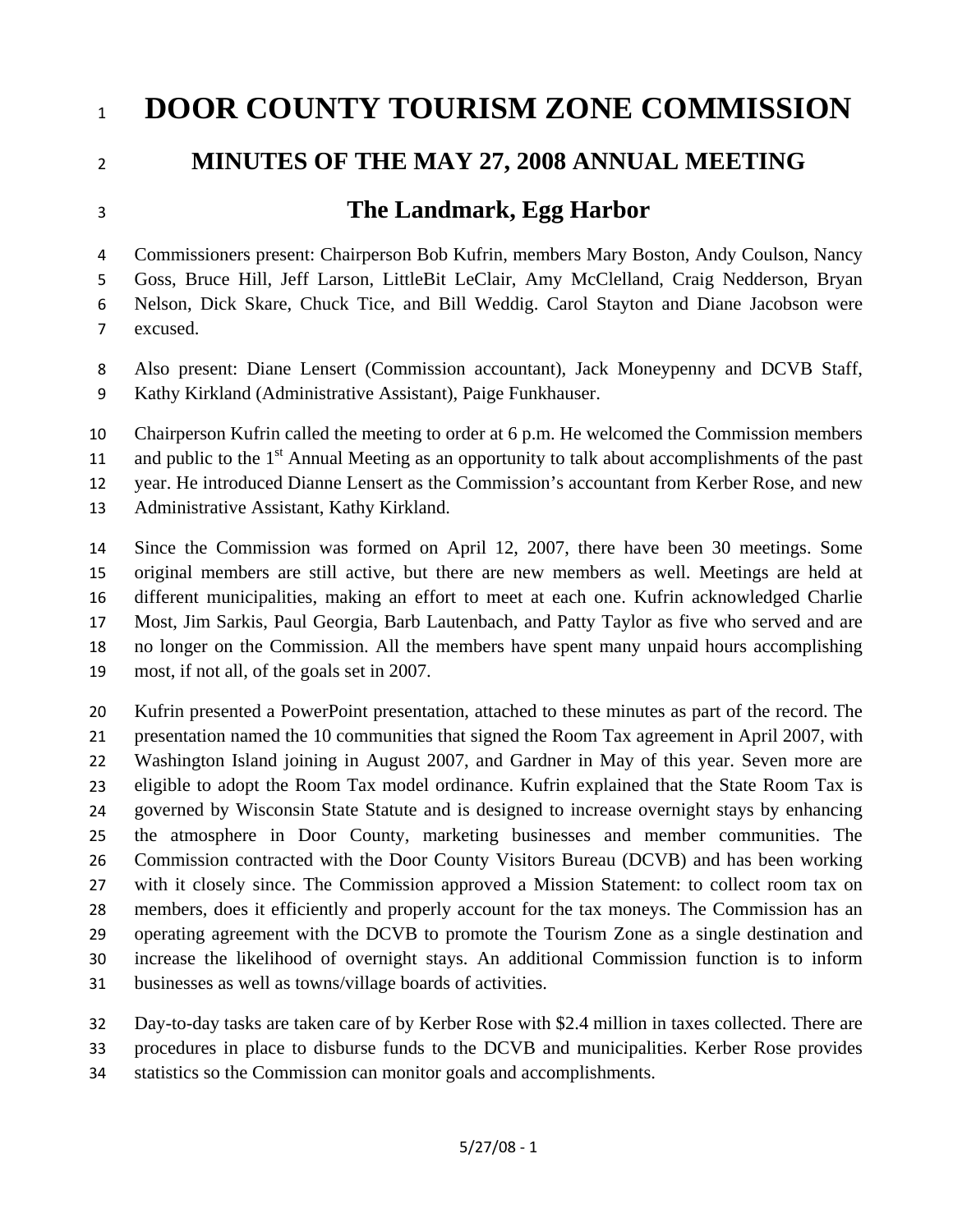## 1 **DOOR COUNTY TOURISM ZONE COMMISSION**

## **MINUTES OF THE MAY 27, 2008 ANNUAL MEETING**

## 3

2

## **The Landmark, Egg Harbor**

4 5 6 7 Commissioners present: Chairperson Bob Kufrin, members Mary Boston, Andy Coulson, Nancy Goss, Bruce Hill, Jeff Larson, LittleBit LeClair, Amy McClelland, Craig Nedderson, Bryan Nelson, Dick Skare, Chuck Tice, and Bill Weddig. Carol Stayton and Diane Jacobson were excused.

8 9 Also present: Diane Lensert (Commission accountant), Jack Moneypenny and DCVB Staff, Kathy Kirkland (Administrative Assistant), Paige Funkhauser.

10 Chairperson Kufrin called the meeting to order at 6 p.m. He welcomed the Commission members

11 and public to the  $1<sup>st</sup>$  Annual Meeting as an opportunity to talk about accomplishments of the past

12 year. He introduced Dianne Lensert as the Commission's accountant from Kerber Rose, and new

13 Administrative Assistant, Kathy Kirkland.

14 15 16 17 18 19 Since the Commission was formed on April 12, 2007, there have been 30 meetings. Some original members are still active, but there are new members as well. Meetings are held at different municipalities, making an effort to meet at each one. Kufrin acknowledged Charlie Most, Jim Sarkis, Paul Georgia, Barb Lautenbach, and Patty Taylor as five who served and are no longer on the Commission. All the members have spent many unpaid hours accomplishing most, if not all, of the goals set in 2007.

20 21 22 23 24 25 26 27 28 29 30 31 Kufrin presented a PowerPoint presentation, attached to these minutes as part of the record. The presentation named the 10 communities that signed the Room Tax agreement in April 2007, with Washington Island joining in August 2007, and Gardner in May of this year. Seven more are eligible to adopt the Room Tax model ordinance. Kufrin explained that the State Room Tax is governed by Wisconsin State Statute and is designed to increase overnight stays by enhancing the atmosphere in Door County, marketing businesses and member communities. The Commission contracted with the Door County Visitors Bureau (DCVB) and has been working with it closely since. The Commission approved a Mission Statement: to collect room tax on members, does it efficiently and properly account for the tax moneys. The Commission has an operating agreement with the DCVB to promote the Tourism Zone as a single destination and increase the likelihood of overnight stays. An additional Commission function is to inform businesses as well as towns/village boards of activities.

32 Day-to-day tasks are taken care of by Kerber Rose with \$2.4 million in taxes collected. There are

33 procedures in place to disburse funds to the DCVB and municipalities. Kerber Rose provides

34 statistics so the Commission can monitor goals and accomplishments.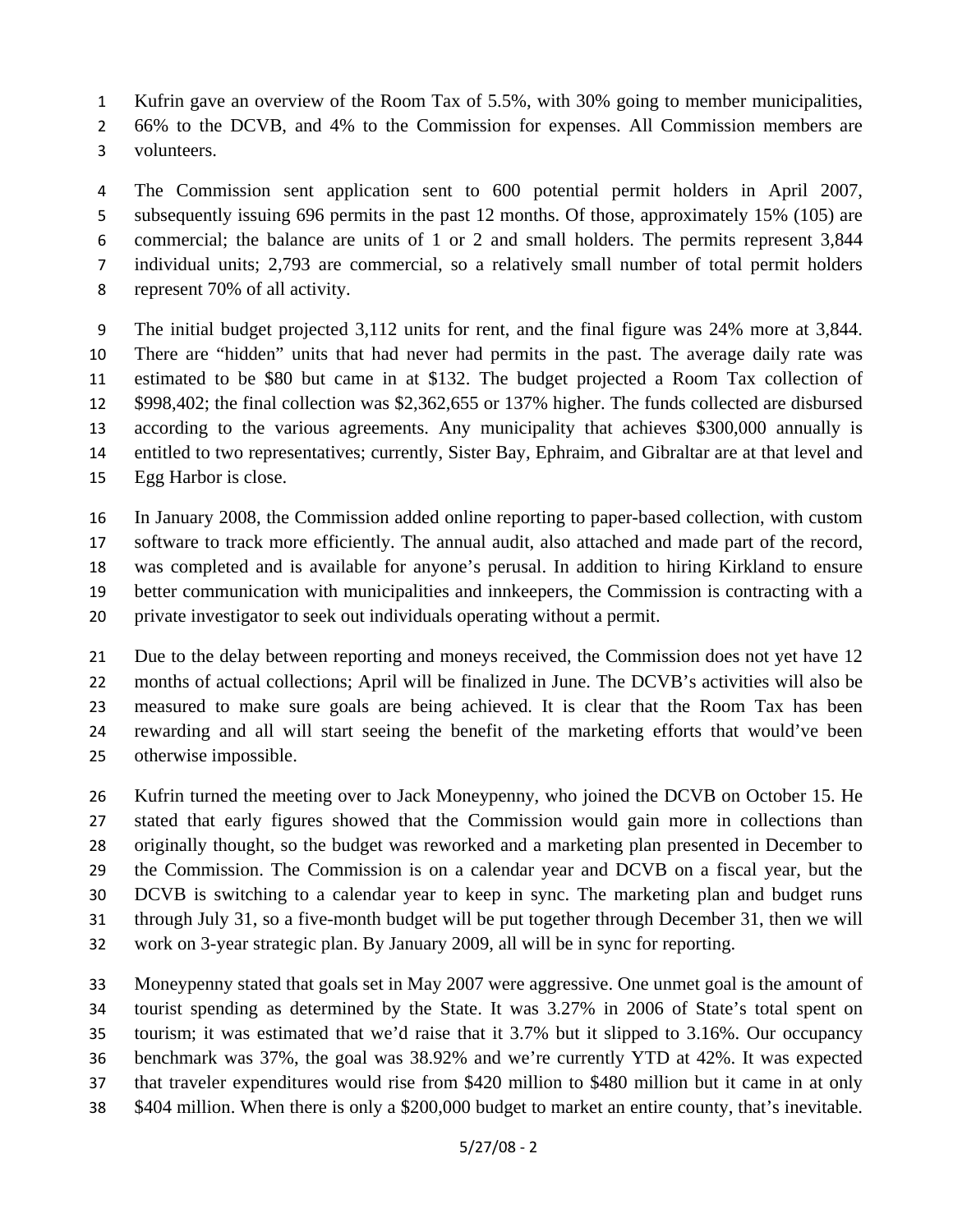1 Kufrin gave an overview of the Room Tax of 5.5%, with 30% going to member municipalities,

2 66% to the DCVB, and 4% to the Commission for expenses. All Commission members are

3 volunteers.

4 5 6 7 8 The Commission sent application sent to 600 potential permit holders in April 2007, subsequently issuing 696 permits in the past 12 months. Of those, approximately 15% (105) are commercial; the balance are units of 1 or 2 and small holders. The permits represent 3,844 individual units; 2,793 are commercial, so a relatively small number of total permit holders represent 70% of all activity.

9 10 11 12 13 14 15 The initial budget projected 3,112 units for rent, and the final figure was 24% more at 3,844. There are "hidden" units that had never had permits in the past. The average daily rate was estimated to be \$80 but came in at \$132. The budget projected a Room Tax collection of \$998,402; the final collection was \$2,362,655 or 137% higher. The funds collected are disbursed according to the various agreements. Any municipality that achieves \$300,000 annually is entitled to two representatives; currently, Sister Bay, Ephraim, and Gibraltar are at that level and Egg Harbor is close.

16 17 18 19 20 In January 2008, the Commission added online reporting to paper-based collection, with custom software to track more efficiently. The annual audit, also attached and made part of the record, was completed and is available for anyone's perusal. In addition to hiring Kirkland to ensure better communication with municipalities and innkeepers, the Commission is contracting with a private investigator to seek out individuals operating without a permit.

21 22 23 24 25 Due to the delay between reporting and moneys received, the Commission does not yet have 12 months of actual collections; April will be finalized in June. The DCVB's activities will also be measured to make sure goals are being achieved. It is clear that the Room Tax has been rewarding and all will start seeing the benefit of the marketing efforts that would've been otherwise impossible.

26 27 28 29 30 31 32 Kufrin turned the meeting over to Jack Moneypenny, who joined the DCVB on October 15. He stated that early figures showed that the Commission would gain more in collections than originally thought, so the budget was reworked and a marketing plan presented in December to the Commission. The Commission is on a calendar year and DCVB on a fiscal year, but the DCVB is switching to a calendar year to keep in sync. The marketing plan and budget runs through July 31, so a five-month budget will be put together through December 31, then we will work on 3-year strategic plan. By January 2009, all will be in sync for reporting.

33 34 35 36 37 38 Moneypenny stated that goals set in May 2007 were aggressive. One unmet goal is the amount of tourist spending as determined by the State. It was 3.27% in 2006 of State's total spent on tourism; it was estimated that we'd raise that it 3.7% but it slipped to 3.16%. Our occupancy benchmark was 37%, the goal was 38.92% and we're currently YTD at 42%. It was expected that traveler expenditures would rise from \$420 million to \$480 million but it came in at only \$404 million. When there is only a \$200,000 budget to market an entire county, that's inevitable.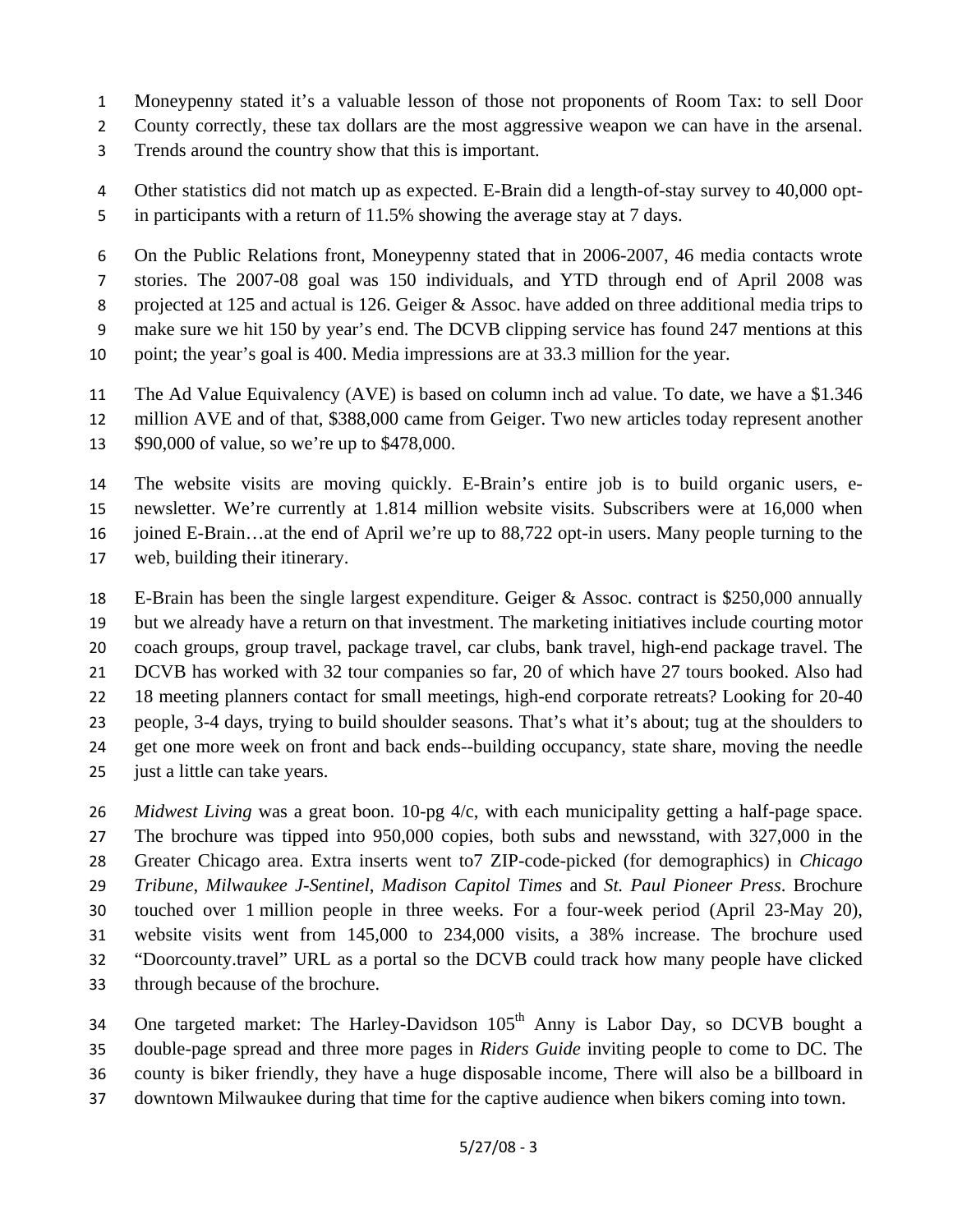1 Moneypenny stated it's a valuable lesson of those not proponents of Room Tax: to sell Door

2 County correctly, these tax dollars are the most aggressive weapon we can have in the arsenal.

3 Trends around the country show that this is important.

4 5 Other statistics did not match up as expected. E-Brain did a length-of-stay survey to 40,000 optin participants with a return of 11.5% showing the average stay at 7 days.

6 7 8 9 10 On the Public Relations front, Moneypenny stated that in 2006-2007, 46 media contacts wrote stories. The 2007-08 goal was 150 individuals, and YTD through end of April 2008 was projected at 125 and actual is 126. Geiger & Assoc. have added on three additional media trips to make sure we hit 150 by year's end. The DCVB clipping service has found 247 mentions at this point; the year's goal is 400. Media impressions are at 33.3 million for the year.

11 The Ad Value Equivalency (AVE) is based on column inch ad value. To date, we have a \$1.346

12 million AVE and of that, \$388,000 came from Geiger. Two new articles today represent another

13 \$90,000 of value, so we're up to \$478,000.

14 15 16 17 The website visits are moving quickly. E-Brain's entire job is to build organic users, enewsletter. We're currently at 1.814 million website visits. Subscribers were at 16,000 when joined E-Brain…at the end of April we're up to 88,722 opt-in users. Many people turning to the web, building their itinerary.

18 19 20 21 22 23 24 25 E-Brain has been the single largest expenditure. Geiger & Assoc. contract is \$250,000 annually but we already have a return on that investment. The marketing initiatives include courting motor coach groups, group travel, package travel, car clubs, bank travel, high-end package travel. The DCVB has worked with 32 tour companies so far, 20 of which have 27 tours booked. Also had 18 meeting planners contact for small meetings, high-end corporate retreats? Looking for 20-40 people, 3-4 days, trying to build shoulder seasons. That's what it's about; tug at the shoulders to get one more week on front and back ends--building occupancy, state share, moving the needle just a little can take years.

26 27 28 29 30 31 32 33 *Midwest Living* was a great boon. 10-pg 4/c, with each municipality getting a half-page space. The brochure was tipped into 950,000 copies, both subs and newsstand, with 327,000 in the Greater Chicago area. Extra inserts went to7 ZIP-code-picked (for demographics) in *Chicago Tribune*, *Milwaukee J-Sentinel*, *Madison Capitol Times* and *St. Paul Pioneer Press*. Brochure touched over 1 million people in three weeks. For a four-week period (April 23-May 20), website visits went from 145,000 to 234,000 visits, a 38% increase. The brochure used "Doorcounty.travel" URL as a portal so the DCVB could track how many people have clicked through because of the brochure.

34 35 36 One targeted market: The Harley-Davidson 105<sup>th</sup> Anny is Labor Day, so DCVB bought a double-page spread and three more pages in *Riders Guide* inviting people to come to DC. The county is biker friendly, they have a huge disposable income, There will also be a billboard in

37 downtown Milwaukee during that time for the captive audience when bikers coming into town.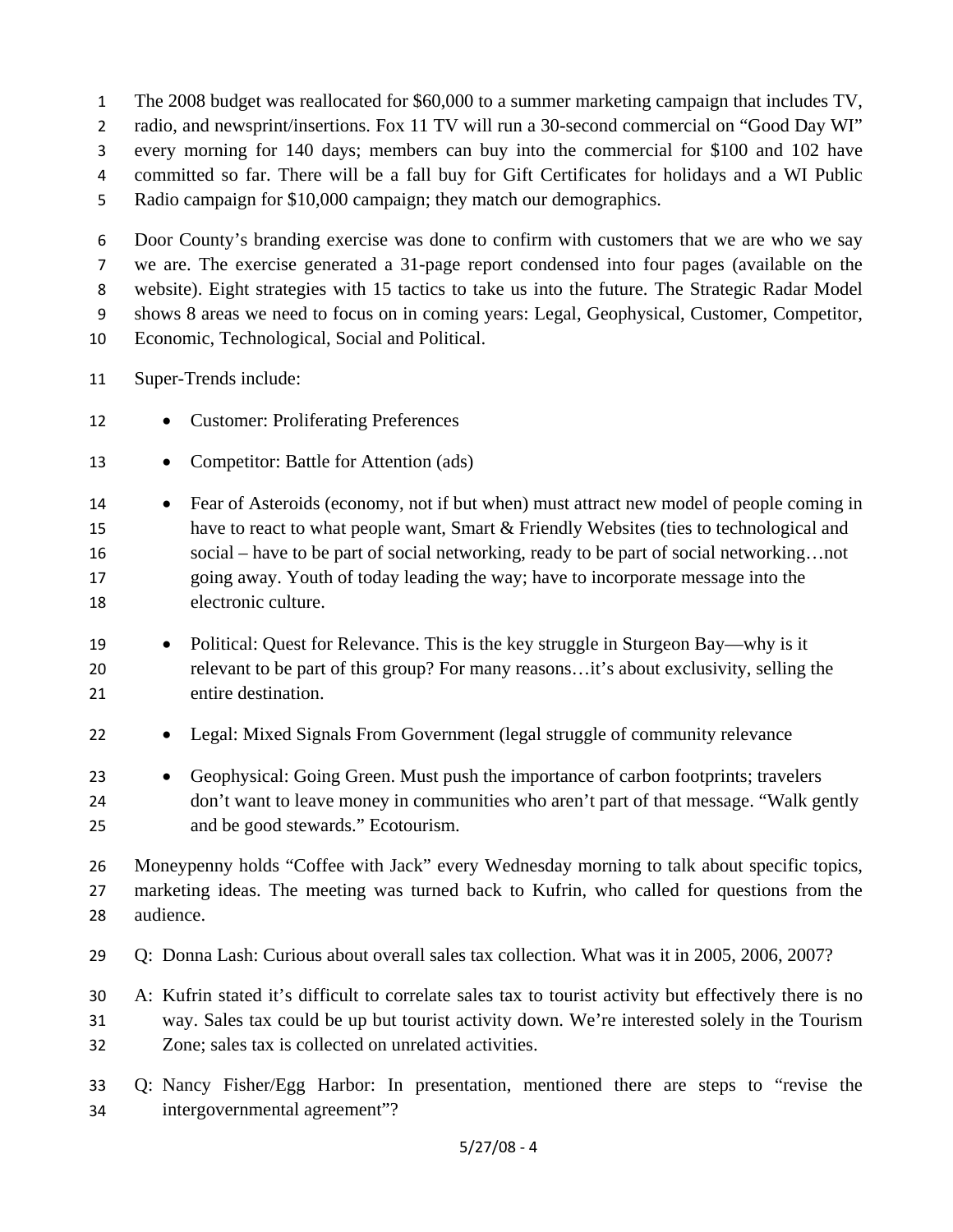1 The 2008 budget was reallocated for \$60,000 to a summer marketing campaign that includes TV,

2 radio, and newsprint/insertions. Fox 11 TV will run a 30-second commercial on "Good Day WI"

3 every morning for 140 days; members can buy into the commercial for \$100 and 102 have

- 4 committed so far. There will be a fall buy for Gift Certificates for holidays and a WI Public
- 5 Radio campaign for \$10,000 campaign; they match our demographics.

6 7 8 9 10 Door County's branding exercise was done to confirm with customers that we are who we say we are. The exercise generated a 31-page report condensed into four pages (available on the website). Eight strategies with 15 tactics to take us into the future. The Strategic Radar Model shows 8 areas we need to focus on in coming years: Legal, Geophysical, Customer, Competitor, Economic, Technological, Social and Political.

- 11 Super-Trends include:
- 12 • Customer: Proliferating Preferences
- 13 • Competitor: Battle for Attention (ads)

14 15 16 17 18 • Fear of Asteroids (economy, not if but when) must attract new model of people coming in have to react to what people want, Smart & Friendly Websites (ties to technological and social – have to be part of social networking, ready to be part of social networking…not going away. Youth of today leading the way; have to incorporate message into the electronic culture.

- 19 20 21 • Political: Quest for Relevance. This is the key struggle in Sturgeon Bay—why is it relevant to be part of this group? For many reasons…it's about exclusivity, selling the entire destination.
- 22 • Legal: Mixed Signals From Government (legal struggle of community relevance

23 24 25 • Geophysical: Going Green. Must push the importance of carbon footprints; travelers don't want to leave money in communities who aren't part of that message. "Walk gently and be good stewards." Ecotourism.

26 27 28 Moneypenny holds "Coffee with Jack" every Wednesday morning to talk about specific topics, marketing ideas. The meeting was turned back to Kufrin, who called for questions from the audience.

29 Q: Donna Lash: Curious about overall sales tax collection. What was it in 2005, 2006, 2007?

30 31 32 A: Kufrin stated it's difficult to correlate sales tax to tourist activity but effectively there is no way. Sales tax could be up but tourist activity down. We're interested solely in the Tourism Zone; sales tax is collected on unrelated activities.

33 34 Q: Nancy Fisher/Egg Harbor: In presentation, mentioned there are steps to "revise the intergovernmental agreement"?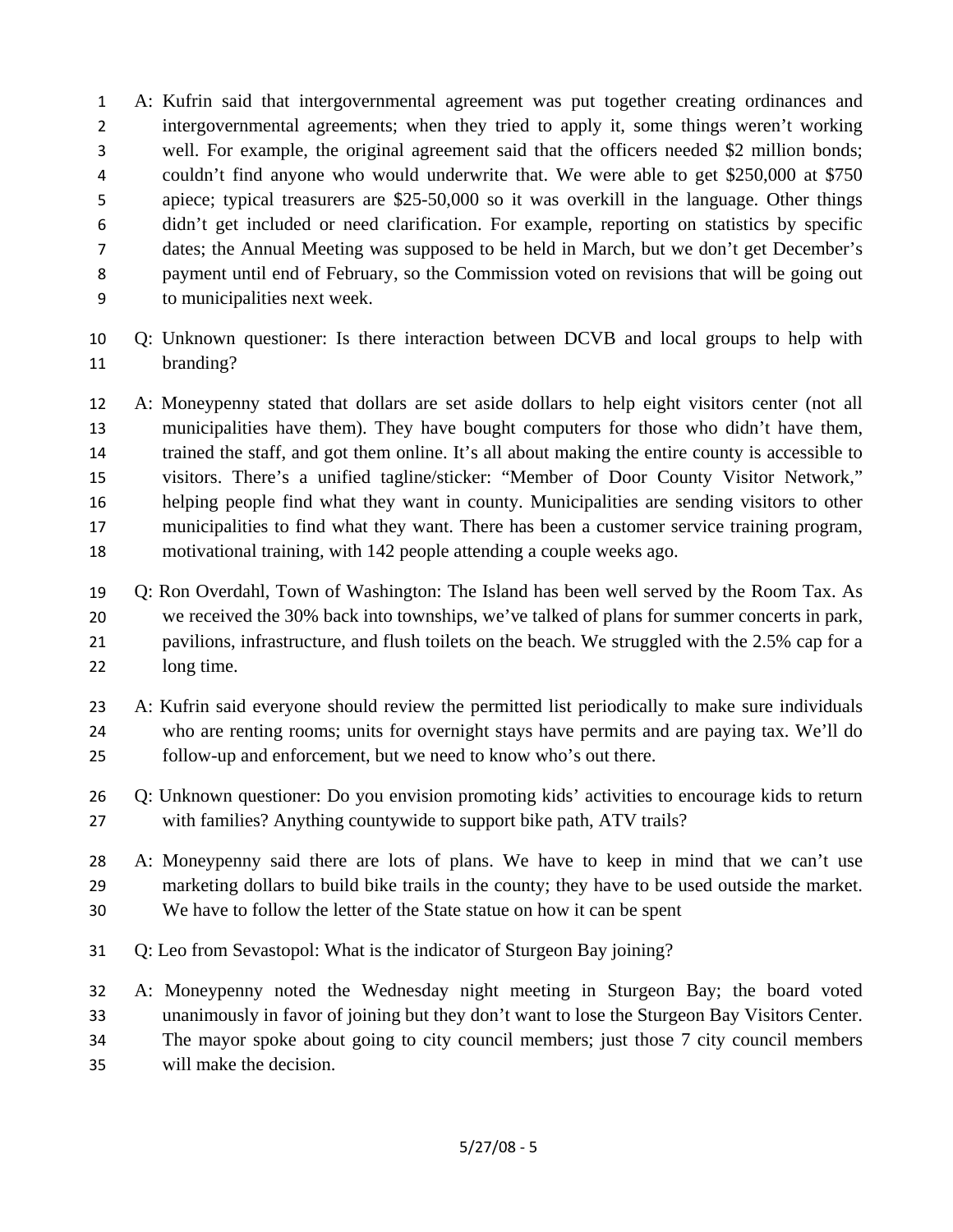- 1 2 3 4 5 6 7 8 9 A: Kufrin said that intergovernmental agreement was put together creating ordinances and intergovernmental agreements; when they tried to apply it, some things weren't working well. For example, the original agreement said that the officers needed \$2 million bonds; couldn't find anyone who would underwrite that. We were able to get \$250,000 at \$750 apiece; typical treasurers are \$25-50,000 so it was overkill in the language. Other things didn't get included or need clarification. For example, reporting on statistics by specific dates; the Annual Meeting was supposed to be held in March, but we don't get December's payment until end of February, so the Commission voted on revisions that will be going out to municipalities next week.
- 10 11 Q: Unknown questioner: Is there interaction between DCVB and local groups to help with branding?
- 12 13 14 15 16 17 18 A: Moneypenny stated that dollars are set aside dollars to help eight visitors center (not all municipalities have them). They have bought computers for those who didn't have them, trained the staff, and got them online. It's all about making the entire county is accessible to visitors. There's a unified tagline/sticker: "Member of Door County Visitor Network," helping people find what they want in county. Municipalities are sending visitors to other municipalities to find what they want. There has been a customer service training program, motivational training, with 142 people attending a couple weeks ago.
- 19 20 21 22 Q: Ron Overdahl, Town of Washington: The Island has been well served by the Room Tax. As we received the 30% back into townships, we've talked of plans for summer concerts in park, pavilions, infrastructure, and flush toilets on the beach. We struggled with the 2.5% cap for a long time.
- 23 24 25 A: Kufrin said everyone should review the permitted list periodically to make sure individuals who are renting rooms; units for overnight stays have permits and are paying tax. We'll do follow-up and enforcement, but we need to know who's out there.
- 26 27 Q: Unknown questioner: Do you envision promoting kids' activities to encourage kids to return with families? Anything countywide to support bike path, ATV trails?
- 28 29 30 A: Moneypenny said there are lots of plans. We have to keep in mind that we can't use marketing dollars to build bike trails in the county; they have to be used outside the market. We have to follow the letter of the State statue on how it can be spent
- 31 Q: Leo from Sevastopol: What is the indicator of Sturgeon Bay joining?
- 32 33 34 35 A: Moneypenny noted the Wednesday night meeting in Sturgeon Bay; the board voted unanimously in favor of joining but they don't want to lose the Sturgeon Bay Visitors Center. The mayor spoke about going to city council members; just those 7 city council members will make the decision.